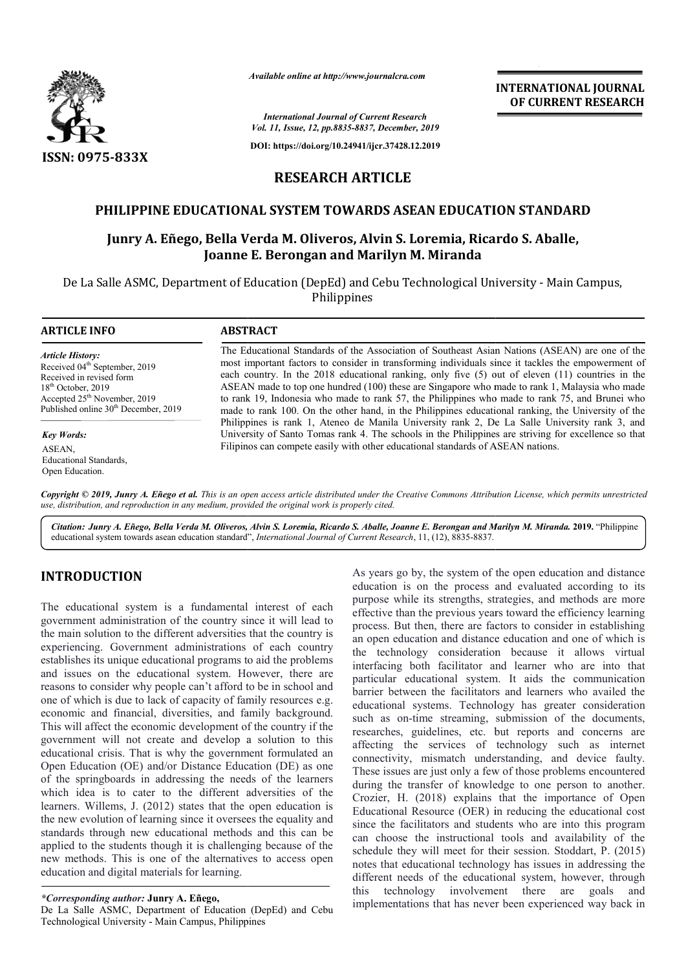

*Available online at http://www.journalcra.com*

**INTERNATIONAL JOURNAL OF CURRENT RESEARCH**

*International Journal of Current Research Vol. 11, Issue, 12, pp.8835-8837, December, 2019*

**DOI: https://doi.org/10.24941/ijcr.37428.12.2019**

# **RESEARCH ARTICLE**

## **PHILIPPINE EDUCATIONAL SYSTEM TOWARDS ASEAN EDUCATION STANDARD**

# **Junry A. Eñego, Bella Verda M. Oliveros, Alvin S. Loremia, Ricardo S. S. Aballe, Joanne E. Berongan and Marilyn M. Miranda**

De La Salle ASMC, Department of Education (DepEd) and Cebu Technological University - Main Campus, Philippines

### **ARTICLE INFO ABSTRACT**

*Article History:* Received 04<sup>th</sup> September, 2019 Received in revised form 18<sup>th</sup> October, 2019 Accepted 25<sup>th</sup> November, 2019 Published online 30<sup>th</sup> December, 2019

*Key Words:* ASEAN, Educational Standards, Open Education.

The Educational Standards of the Association of Southeast Asian Nations (ASEAN) are one of the most important factors to consider in transforming individuals since it tackles the empowerment of each country. In the 2018 educational ranking, only five (5) out of eleven (11) countries in the ASEAN made to top one hundred (100) these are Singapore who made to rank 1, Malaysia who made to rank 19, Indonesia who made to rank 57, the Philippines who made to rank 75, and Brunei who made to rank 100. On the other hand, in the Philippines educational ranking, the University of the Philippines is rank 1, Ateneo de Manila University rank 2, De La Salle University rank 3, and University of Santo Tomas rank 4. The schools in the Philippines are striving for excellence so that Filipinos can compete easily with other educational standards of ASEAN nations. The Educational Standards of the Association of Southeast Asian Nations (ASEAN) are one of the most important factors to consider in transforming individuals since it tackles the empowerment of each country. In the 2018 ed to rank 19, Indonesia who made to rank 57, the Philippines who made to rank 75, and Brunei who made to rank 100. On the other hand, in the Philippines educational ranking, the University of the Philippines is rank 1, Atene

Copyright © 2019, Junry A. Eñego et al. This is an open access article distributed under the Creative Commons Attribution License, which permits unrestrictea *use, distribution, and reproduction in any medium, provided the original work is properly cited.*

*Citation: Junry A. Eñego, Bella Verda M. Oliveros, Alvin S. Loremia, Ricardo S. Aballe, Joanne E. Berongan and Marilyn M. Miranda Miranda.* **2019.** "Philippine educational system towards asean education standard" ", *International Journal of Current Research*, 11, (12), 8835-8837.

# **INTRODUCTION**

The educational system is a fundamental interest of each government administration of the country since it will lead to the main solution to the different adversities that the country is experiencing. Government administrations of each country establishes its unique educational programs to aid the problems and issues on the educational system. However, there are reasons to consider why people can't afford to be in school and one of which is due to lack of capacity of family resources e.g. economic and financial, diversities, and family background. This will affect the economic development of the country if the government will not create and develop a solution to this educational crisis. That is why the government formulated an Open Education (OE) and/or Distance Education (DE) as one of the springboards in addressing the needs of the learners which idea is to cater to the different adversities of the learners. Willems, J. (2012) states that the open education is the new evolution of learning since it oversees the equality and standards through new educational methods and this can be applied to the students though it is challenging because of the new methods. This is one of the alternatives t education and digital materials for learning. at is why the government formulated an<br>and/or Distance Education (DE) as one<br>in addressing the needs of the learners<br>ter to the different adversities of the<br>(2012) states that the open education is<br>earning since it oversee

*\*Corresponding author:* **Junry A. Eñego,**

De La Salle ASMC, Department of Education (DepEd) and Cebu Technological University - Main Campus, Philippines

As years go by, the system of the open education and distance education is on the process and evaluated according to its purpose while its strengths, strategies, and methods are more effective than the previous years toward the efficiency learning process. But then, there are factors to conside an open education and distance education and one of which is the technology consideration because it allows virtual interfacing both facilitator and learner who are into that particular educational system. It aids the communication barrier between the facilitators and learners who availed the educational systems. Technology has greater consideration such as on-time streaming, submission of the documents, researches, guidelines, etc. but reports and concerns are an open education and distance education and one of which is<br>the technology consideration because it allows virtual<br>interfacing both facilitator and learner who are into that<br>particular educational system. It aids the comm connectivity, mismatch understanding, and device faulty. These issues are just only a few of those problems encountered during the transfer of knowledge to one person to another. connectivity, mismatch understanding, and device faulty.<br>These issues are just only a few of those problems encountered<br>during the transfer of knowledge to one person to another.<br>Crozier, H. (2018) explains that the import Educational Resource (OER) in reducing the educational cost since the facilitators and students who are into this program can choose the instructional tools and availability of the schedule they will meet for their session. Stoddart, P. (2015) notes that educational technology has issues in addressing the different needs of the educational system, however, through this technology involvement there are goals and implementations that has never been experienced way back in education is on the process and evaluated according to its purpose while its strengths, strategies, and methods are more effective than the previous years toward the efficiency learning process. But then, there are factors Educational Resource (OER) in reducing the educational cost since the facilitators and students who are into this program can choose the instructional tools and availability of the schedule they will meet for their session INTERNATIONAL JOURNAL<br> **INTERNATIONAL OF CURRENT RESEARCH**<br> **CONVERT** CONVERT (THE CONVERT) 37438.12.2019<br> **CCLE**<br> **CCLE**<br> **CCLE**<br> **CCLE**<br> **CCLE**<br> **CCLE**<br> **CCLE**<br> **CCLE**<br> **CCLE**<br> **CCLE**<br> **CCLE**<br> **CCLE**<br> **CCLE**<br> **CCLE**<br> **CC**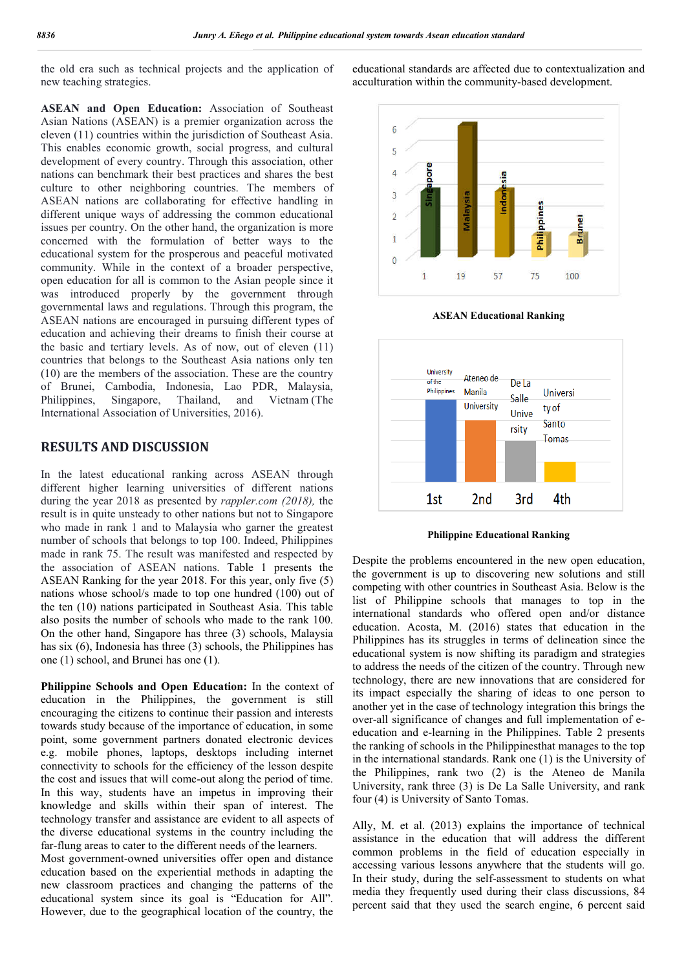the old era such as technical projects and the application of new teaching strategies.

**ASEAN and Open Education:** Association of Southeast Asian Nations (ASEAN) is a premier organization across the eleven (11) countries within the jurisdiction of Southeast Asia. This enables economic growth, social progress, and cultural development of every country. Through this association, other nations can benchmark their best practices and shares the best culture to other neighboring countries. The members of ASEAN nations are collaborating for effective handling in different unique ways of addressing the common educational issues per country. On the other hand, the organization is more concerned with the formulation of better ways to the educational system for the prosperous and peaceful motivated community. While in the context of a broader perspective, open education for all is common to the Asian people since it was introduced properly by the government through governmental laws and regulations. Through this program, the ASEAN nations are encouraged in pursuing different types of education and achieving their dreams to finish their course at the basic and tertiary levels. As of now, out of eleven (11) countries that belongs to the Southeast Asia nations only ten (10) are the members of the association. These are the country of Brunei, Cambodia, Indonesia, Lao PDR, Malaysia, Philippines, Singapore, Thailand, and Vietnam (The International Association of Universities, 2016).

## **RESULTS AND DISCUSSION**

In the latest educational ranking across ASEAN through different higher learning universities of different nations during the year 2018 as presented by *rappler.com (2018),* the result is in quite unsteady to other nations but not to Singapore who made in rank 1 and to Malaysia who garner the greatest number of schools that belongs to top 100. Indeed, Philippines made in rank 75. The result was manifested and respected by the association of ASEAN nations. Table 1 presents the ASEAN Ranking for the year 2018. For this year, only five (5) nations whose school/s made to top one hundred (100) out of the ten (10) nations participated in Southeast Asia. This table also posits the number of schools who made to the rank 100. On the other hand, Singapore has three (3) schools, Malaysia has six (6), Indonesia has three (3) schools, the Philippines has one (1) school, and Brunei has one (1).

**Philippine Schools and Open Education:** In the context of education in the Philippines, the government is still encouraging the citizens to continue their passion and interests towards study because of the importance of education, in some point, some government partners donated electronic devices e.g. mobile phones, laptops, desktops including internet connectivity to schools for the efficiency of the lesson despite the cost and issues that will come-out along the period of time. In this way, students have an impetus in improving their knowledge and skills within their span of interest. The technology transfer and assistance are evident to all aspects of the diverse educational systems in the country including the far-flung areas to cater to the different needs of the learners.

Most government-owned universities offer open and distance education based on the experiential methods in adapting the new classroom practices and changing the patterns of the educational system since its goal is "Education for All". However, due to the geographical location of the country, the

educational standards are affected due to contextualization and acculturation within the community-based development.



**ASEAN Educational Ranking**



**Philippine Educational Ranking**

Despite the problems encountered in the new open education, the government is up to discovering new solutions and still competing with other countries in Southeast Asia. Below is the list of Philippine schools that manages to top in the international standards who offered open and/or distance education. Acosta, M. (2016) states that education in the Philippines has its struggles in terms of delineation since the educational system is now shifting its paradigm and strategies to address the needs of the citizen of the country. Through new technology, there are new innovations that are considered for its impact especially the sharing of ideas to one person to another yet in the case of technology integration this brings the over-all significance of changes and full implementation of eeducation and e-learning in the Philippines. Table 2 presents the ranking of schools in the Philippinesthat manages to the top in the international standards. Rank one (1) is the University of the Philippines, rank two (2) is the Ateneo de Manila University, rank three (3) is De La Salle University, and rank four (4) is University of Santo Tomas.

Ally, M. et al. (2013) explains the importance of technical assistance in the education that will address the different common problems in the field of education especially in accessing various lessons anywhere that the students will go. In their study, during the self-assessment to students on what media they frequently used during their class discussions, 84 percent said that they used the search engine, 6 percent said